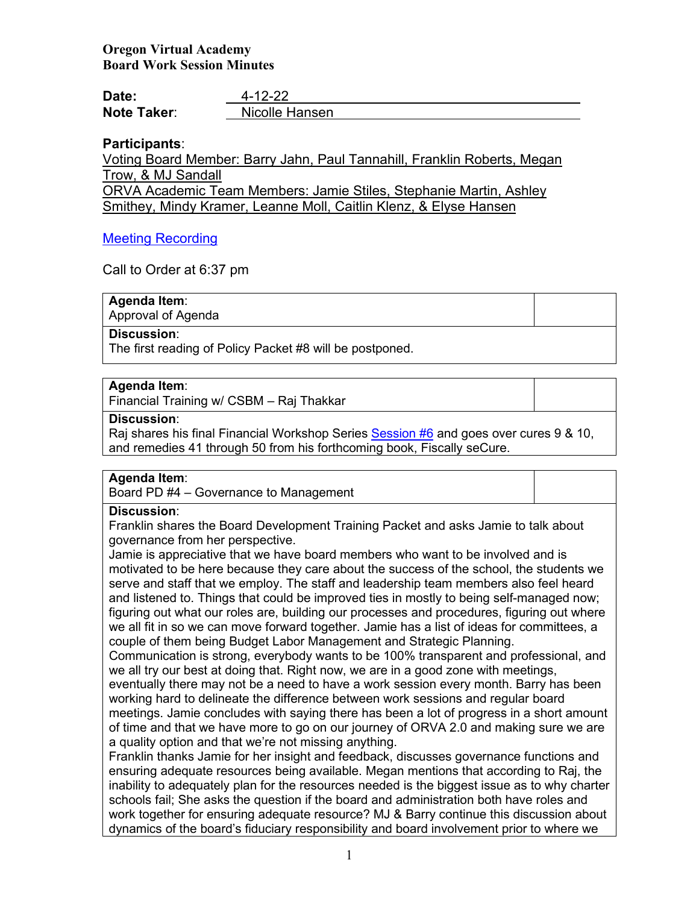# **Oregon Virtual Academy Board Work Session Minutes**

| Date:              | $4 - 12 - 22$  |
|--------------------|----------------|
| <b>Note Taker:</b> | Nicolle Hansen |

## **Participants**:

Voting Board Member: Barry Jahn, Paul Tannahill, Franklin Roberts, Megan Trow, & MJ Sandall

ORVA Academic Team Members: Jamie Stiles, Stephanie Martin, Ashley Smithey, Mindy Kramer, Leanne Moll, Caitlin Klenz, & Elyse Hansen

## [Meeting Recording](https://us02web.zoom.us/rec/play/J1-9tLSFVKgXGE8ZDmYRYbBQHyOh3Mx2hSmsPDipBh69YUfgzNdtMtnCt3wagc4wzwa4PBVa9gY0mT4s.5H26LGiRS1dWsrYC)

Call to Order at 6:37 pm

**Agenda Item**: Approval of Agenda

**Discussion**:

The first reading of Policy Packet #8 will be postponed.

# **Agenda Item**:

Financial Training w/ CSBM – Raj Thakkar

### **Discussion**:

Raj shares his final Financial Workshop Series [Session #6](https://k12inc-my.sharepoint.com/:b:/g/personal/nhansen_oregonva_org/EWn2wwSGodhJoNGN-iHTxacB4rvh5tDzv_UmO3o840VXIw?e=hmjJCC) and goes over cures 9 & 10, and remedies 41 through 50 from his forthcoming book, Fiscally seCure.

## **Agenda Item**:

Board PD #4 – Governance to Management

# **Discussion**:

Franklin shares the Board Development Training Packet and asks Jamie to talk about governance from her perspective.

Jamie is appreciative that we have board members who want to be involved and is motivated to be here because they care about the success of the school, the students we serve and staff that we employ. The staff and leadership team members also feel heard and listened to. Things that could be improved ties in mostly to being self-managed now; figuring out what our roles are, building our processes and procedures, figuring out where we all fit in so we can move forward together. Jamie has a list of ideas for committees, a couple of them being Budget Labor Management and Strategic Planning.

Communication is strong, everybody wants to be 100% transparent and professional, and we all try our best at doing that. Right now, we are in a good zone with meetings,

eventually there may not be a need to have a work session every month. Barry has been working hard to delineate the difference between work sessions and regular board meetings. Jamie concludes with saying there has been a lot of progress in a short amount of time and that we have more to go on our journey of ORVA 2.0 and making sure we are a quality option and that we're not missing anything.

Franklin thanks Jamie for her insight and feedback, discusses governance functions and ensuring adequate resources being available. Megan mentions that according to Raj, the inability to adequately plan for the resources needed is the biggest issue as to why charter schools fail; She asks the question if the board and administration both have roles and work together for ensuring adequate resource? MJ & Barry continue this discussion about dynamics of the board's fiduciary responsibility and board involvement prior to where we